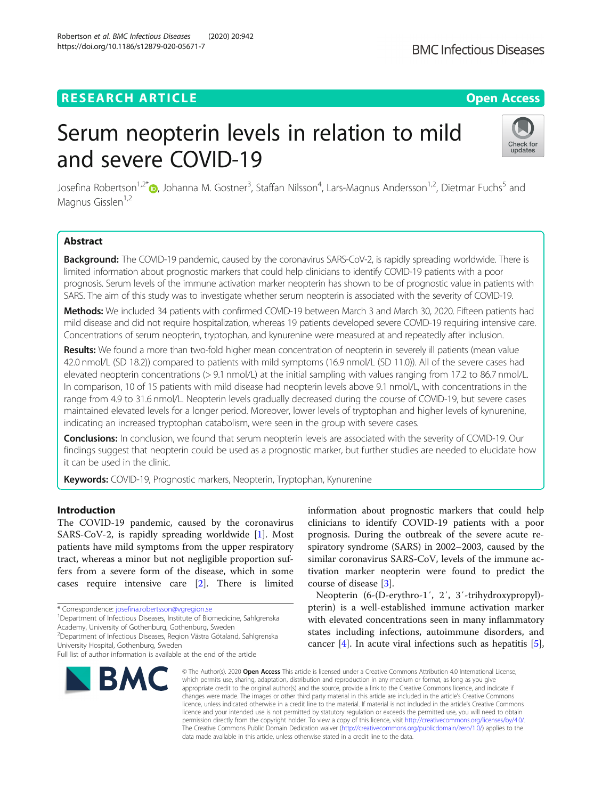# **RESEARCH ARTICLE Example 2014 12:30 The Contract of Contract ACCESS**

# Serum neopterin levels in relation to mild and severe COVID-19

Josefina Robertson<sup>1,2[\\*](http://orcid.org/0000-0002-2167-6822)</sup> (), Johanna M. Gostner<sup>3</sup>, Staffan Nilsson<sup>4</sup>, Lars-Magnus Andersson<sup>1,2</sup>, Dietmar Fuchs<sup>5</sup> and Magnus Gisslen<sup>1,2</sup>

# Abstract

Background: The COVID-19 pandemic, caused by the coronavirus SARS-CoV-2, is rapidly spreading worldwide. There is limited information about prognostic markers that could help clinicians to identify COVID-19 patients with a poor prognosis. Serum levels of the immune activation marker neopterin has shown to be of prognostic value in patients with SARS. The aim of this study was to investigate whether serum neopterin is associated with the severity of COVID-19.

Methods: We included 34 patients with confirmed COVID-19 between March 3 and March 30, 2020. Fifteen patients had mild disease and did not require hospitalization, whereas 19 patients developed severe COVID-19 requiring intensive care. Concentrations of serum neopterin, tryptophan, and kynurenine were measured at and repeatedly after inclusion.

Results: We found a more than two-fold higher mean concentration of neopterin in severely ill patients (mean value 42.0 nmol/L (SD 18.2)) compared to patients with mild symptoms (16.9 nmol/L (SD 11.0)). All of the severe cases had elevated neopterin concentrations (> 9.1 nmol/L) at the initial sampling with values ranging from 17.2 to 86.7 nmol/L. In comparison, 10 of 15 patients with mild disease had neopterin levels above 9.1 nmol/L, with concentrations in the range from 4.9 to 31.6 nmol/L. Neopterin levels gradually decreased during the course of COVID-19, but severe cases maintained elevated levels for a longer period. Moreover, lower levels of tryptophan and higher levels of kynurenine, indicating an increased tryptophan catabolism, were seen in the group with severe cases.

Conclusions: In conclusion, we found that serum neopterin levels are associated with the severity of COVID-19. Our findings suggest that neopterin could be used as a prognostic marker, but further studies are needed to elucidate how it can be used in the clinic.

Keywords: COVID-19, Prognostic markers, Neopterin, Tryptophan, Kynurenine

# Introduction

The COVID-19 pandemic, caused by the coronavirus SARS-CoV-2, is rapidly spreading worldwide [[1](#page-5-0)]. Most patients have mild symptoms from the upper respiratory tract, whereas a minor but not negligible proportion suffers from a severe form of the disease, which in some cases require intensive care [\[2](#page-5-0)]. There is limited

\* Correspondence: [josefina.robertsson@vgregion.se](mailto:josefina.robertsson@vgregion.se) <sup>1</sup>

<sup>1</sup> Department of Infectious Diseases, Institute of Biomedicine, Sahlgrenska Academy, University of Gothenburg, Gothenburg, Sweden

2 Department of Infectious Diseases, Region Västra Götaland, Sahlgrenska University Hospital, Gothenburg, Sweden

information about prognostic markers that could help clinicians to identify COVID-19 patients with a poor prognosis. During the outbreak of the severe acute respiratory syndrome (SARS) in 2002–2003, caused by the similar coronavirus SARS-CoV, levels of the immune activation marker neopterin were found to predict the course of disease [[3\]](#page-5-0).

Neopterin (6-(D-erythro-1′, 2′, 3′-trihydroxypropyl) pterin) is a well-established immune activation marker with elevated concentrations seen in many inflammatory states including infections, autoimmune disorders, and cancer  $[4]$ . In acute viral infections such as hepatitis  $[5]$  $[5]$ ,

© The Author(s), 2020 **Open Access** This article is licensed under a Creative Commons Attribution 4.0 International License, which permits use, sharing, adaptation, distribution and reproduction in any medium or format, as long as you give appropriate credit to the original author(s) and the source, provide a link to the Creative Commons licence, and indicate if changes were made. The images or other third party material in this article are included in the article's Creative Commons licence, unless indicated otherwise in a credit line to the material. If material is not included in the article's Creative Commons licence and your intended use is not permitted by statutory regulation or exceeds the permitted use, you will need to obtain permission directly from the copyright holder. To view a copy of this licence, visit [http://creativecommons.org/licenses/by/4.0/.](http://creativecommons.org/licenses/by/4.0/) The Creative Commons Public Domain Dedication waiver [\(http://creativecommons.org/publicdomain/zero/1.0/](http://creativecommons.org/publicdomain/zero/1.0/)) applies to the data made available in this article, unless otherwise stated in a credit line to the data.

Robertson et al. BMC Infectious Diseases (2020) 20:942 https://doi.org/10.1186/s12879-020-05671-7







Full list of author information is available at the end of the article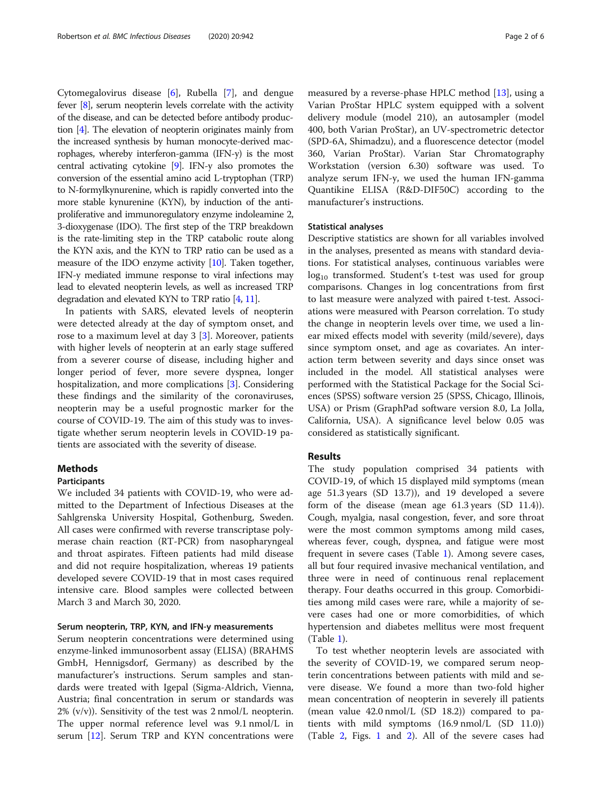Cytomegalovirus disease [[6\]](#page-5-0), Rubella [\[7](#page-5-0)], and dengue fever [\[8\]](#page-5-0), serum neopterin levels correlate with the activity of the disease, and can be detected before antibody production [\[4](#page-5-0)]. The elevation of neopterin originates mainly from the increased synthesis by human monocyte-derived macrophages, whereby interferon-gamma (IFN-y) is the most central activating cytokine [\[9](#page-5-0)]. IFN-y also promotes the conversion of the essential amino acid L-tryptophan (TRP) to N-formylkynurenine, which is rapidly converted into the more stable kynurenine (KYN), by induction of the antiproliferative and immunoregulatory enzyme indoleamine 2, 3-dioxygenase (IDO). The first step of the TRP breakdown is the rate-limiting step in the TRP catabolic route along the KYN axis, and the KYN to TRP ratio can be used as a measure of the IDO enzyme activity [[10\]](#page-5-0). Taken together, IFN-y mediated immune response to viral infections may lead to elevated neopterin levels, as well as increased TRP degradation and elevated KYN to TRP ratio [\[4](#page-5-0), [11](#page-5-0)].

In patients with SARS, elevated levels of neopterin were detected already at the day of symptom onset, and rose to a maximum level at day 3 [\[3\]](#page-5-0). Moreover, patients with higher levels of neopterin at an early stage suffered from a severer course of disease, including higher and longer period of fever, more severe dyspnea, longer hospitalization, and more complications [[3\]](#page-5-0). Considering these findings and the similarity of the coronaviruses, neopterin may be a useful prognostic marker for the course of COVID-19. The aim of this study was to investigate whether serum neopterin levels in COVID-19 patients are associated with the severity of disease.

# Methods

### Participants

We included 34 patients with COVID-19, who were admitted to the Department of Infectious Diseases at the Sahlgrenska University Hospital, Gothenburg, Sweden. All cases were confirmed with reverse transcriptase polymerase chain reaction (RT-PCR) from nasopharyngeal and throat aspirates. Fifteen patients had mild disease and did not require hospitalization, whereas 19 patients developed severe COVID-19 that in most cases required intensive care. Blood samples were collected between March 3 and March 30, 2020.

#### Serum neopterin, TRP, KYN, and IFN-y measurements

Serum neopterin concentrations were determined using enzyme-linked immunosorbent assay (ELISA) (BRAHMS GmbH, Hennigsdorf, Germany) as described by the manufacturer's instructions. Serum samples and standards were treated with Igepal (Sigma-Aldrich, Vienna, Austria; final concentration in serum or standards was  $2\%$  (v/v)). Sensitivity of the test was  $2 \text{ nmol/L}$  neopterin. The upper normal reference level was 9.1 nmol/L in serum [[12](#page-5-0)]. Serum TRP and KYN concentrations were

measured by a reverse-phase HPLC method [\[13](#page-5-0)], using a Varian ProStar HPLC system equipped with a solvent delivery module (model 210), an autosampler (model 400, both Varian ProStar), an UV-spectrometric detector (SPD-6A, Shimadzu), and a fluorescence detector (model 360, Varian ProStar). Varian Star Chromatography Workstation (version 6.30) software was used. To analyze serum IFN-y, we used the human IFN-gamma Quantikine ELISA (R&D-DIF50C) according to the manufacturer's instructions.

#### Statistical analyses

Descriptive statistics are shown for all variables involved in the analyses, presented as means with standard deviations. For statistical analyses, continuous variables were log<sub>10</sub> transformed. Student's t-test was used for group comparisons. Changes in log concentrations from first to last measure were analyzed with paired t-test. Associations were measured with Pearson correlation. To study the change in neopterin levels over time, we used a linear mixed effects model with severity (mild/severe), days since symptom onset, and age as covariates. An interaction term between severity and days since onset was included in the model. All statistical analyses were performed with the Statistical Package for the Social Sciences (SPSS) software version 25 (SPSS, Chicago, Illinois, USA) or Prism (GraphPad software version 8.0, La Jolla, California, USA). A significance level below 0.05 was considered as statistically significant.

## Results

The study population comprised 34 patients with COVID-19, of which 15 displayed mild symptoms (mean age 51.3 years (SD 13.7)), and 19 developed a severe form of the disease (mean age 61.3 years (SD 11.4)). Cough, myalgia, nasal congestion, fever, and sore throat were the most common symptoms among mild cases, whereas fever, cough, dyspnea, and fatigue were most frequent in severe cases (Table [1](#page-2-0)). Among severe cases, all but four required invasive mechanical ventilation, and three were in need of continuous renal replacement therapy. Four deaths occurred in this group. Comorbidities among mild cases were rare, while a majority of severe cases had one or more comorbidities, of which hypertension and diabetes mellitus were most frequent (Table [1\)](#page-2-0).

To test whether neopterin levels are associated with the severity of COVID-19, we compared serum neopterin concentrations between patients with mild and severe disease. We found a more than two-fold higher mean concentration of neopterin in severely ill patients (mean value 42.0 nmol/L (SD 18.2)) compared to patients with mild symptoms (16.9 nmol/L (SD 11.0)) (Table [2](#page-2-0), Figs. [1](#page-3-0) and [2\)](#page-3-0). All of the severe cases had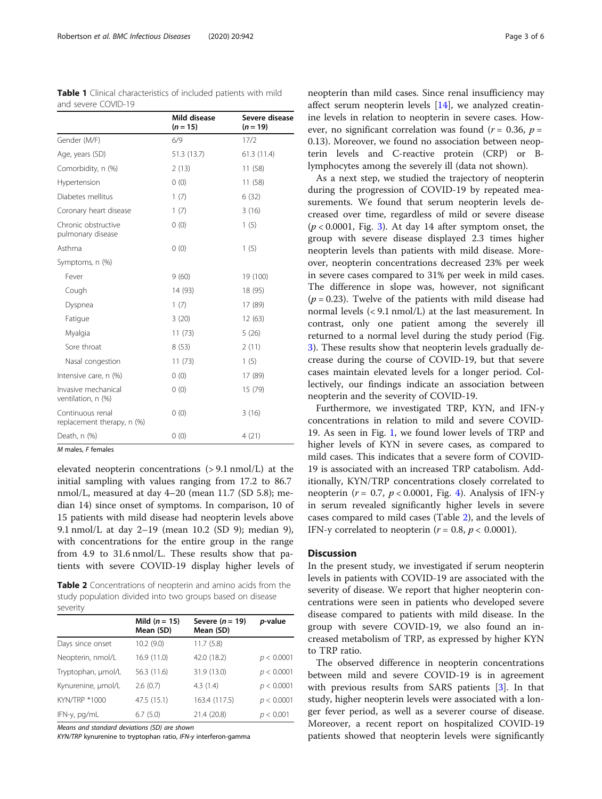<span id="page-2-0"></span>Robertson et al. BMC Infectious Diseases (2020) 20:942 Page 3 of 6

and severe COVID-19

Table 1 Clinical characteristics of included patients with mild

|                                                | Mild disease<br>$(n = 15)$ | Severe disease<br>$(n = 19)$ |  |
|------------------------------------------------|----------------------------|------------------------------|--|
| Gender (M/F)                                   | 6/9                        | 17/2                         |  |
| Age, years (SD)                                | 51.3 (13.7)                | 61.3(11.4)                   |  |
| Comorbidity, n (%)                             | 2(13)                      | 11(58)                       |  |
| Hypertension                                   | 0(0)                       | 11(58)                       |  |
| Diabetes mellitus                              | 1(7)                       | 6(32)                        |  |
| Coronary heart disease                         | 1(7)                       | 3(16)                        |  |
| Chronic obstructive<br>pulmonary disease       | 0(0)                       | 1(5)                         |  |
| Asthma                                         | 0(0)                       | 1(5)                         |  |
| Symptoms, n (%)                                |                            |                              |  |
| Fever                                          | 9(60)                      | 19 (100)                     |  |
| Cough                                          | 14 (93)                    | 18 (95)                      |  |
| Dyspnea                                        | 1(7)                       | 17 (89)                      |  |
| Fatigue                                        | 3(20)                      | 12(63)                       |  |
| Myalgia                                        | 11(73)                     | 5(26)                        |  |
| Sore throat                                    | 8(53)                      | 2(11)                        |  |
| Nasal congestion                               | 11(73)                     | 1(5)                         |  |
| Intensive care, n (%)                          | 0(0)                       | 17 (89)                      |  |
| Invasive mechanical<br>ventilation, n (%)      | 0(0)                       | 15 (79)                      |  |
| Continuous renal<br>replacement therapy, n (%) | 0(0)                       | 3(16)                        |  |
| Death, n (%)                                   | 0(0)                       | 4(21)                        |  |

M males, F females

elevated neopterin concentrations (> 9.1 nmol/L) at the initial sampling with values ranging from 17.2 to 86.7 nmol/L, measured at day 4–20 (mean 11.7 (SD 5.8); median 14) since onset of symptoms. In comparison, 10 of 15 patients with mild disease had neopterin levels above 9.1 nmol/L at day 2–19 (mean 10.2 (SD 9); median 9), with concentrations for the entire group in the range from 4.9 to 31.6 nmol/L. These results show that patients with severe COVID-19 display higher levels of

Table 2 Concentrations of neopterin and amino acids from the study population divided into two groups based on disease severity

|                    | Mild $(n = 15)$<br>Mean (SD) | Severe $(n = 19)$<br>Mean (SD) | p-value    |
|--------------------|------------------------------|--------------------------------|------------|
| Days since onset   | 10.2(9.0)                    | 11.7(5.8)                      |            |
| Neopterin, nmol/L  | 16.9 (11.0)                  | 42.0 (18.2)                    | p < 0.0001 |
| Tryptophan, µmol/L | 56.3 (11.6)                  | 31.9 (13.0)                    | p < 0.0001 |
| Kynurenine, µmol/L | 2.6(0.7)                     | 4.3(1.4)                       | p < 0.0001 |
| KYN/TRP *1000      | 47.5 (15.1)                  | 163.4 (117.5)                  | p < 0.0001 |
| IFN-y, pg/mL       | 6.7(5.0)                     | 21.4 (20.8)                    | p < 0.001  |

Means and standard deviations (SD) are shown

KYN/TRP kynurenine to tryptophan ratio, IFN-y interferon-gamma

neopterin than mild cases. Since renal insufficiency may affect serum neopterin levels [\[14](#page-5-0)], we analyzed creatinine levels in relation to neopterin in severe cases. However, no significant correlation was found ( $r = 0.36$ ,  $p =$ 0.13). Moreover, we found no association between neopterin levels and C-reactive protein (CRP) or Blymphocytes among the severely ill (data not shown).

As a next step, we studied the trajectory of neopterin during the progression of COVID-19 by repeated measurements. We found that serum neopterin levels decreased over time, regardless of mild or severe disease  $(p < 0.0001$ , Fig. [3](#page-4-0)). At day 14 after symptom onset, the group with severe disease displayed 2.3 times higher neopterin levels than patients with mild disease. Moreover, neopterin concentrations decreased 23% per week in severe cases compared to 31% per week in mild cases. The difference in slope was, however, not significant  $(p = 0.23)$ . Twelve of the patients with mild disease had normal levels (< 9.1 nmol/L) at the last measurement. In contrast, only one patient among the severely ill returned to a normal level during the study period (Fig. [3\)](#page-4-0). These results show that neopterin levels gradually decrease during the course of COVID-19, but that severe cases maintain elevated levels for a longer period. Collectively, our findings indicate an association between neopterin and the severity of COVID-19.

Furthermore, we investigated TRP, KYN, and IFN-y concentrations in relation to mild and severe COVID-19. As seen in Fig. [1,](#page-3-0) we found lower levels of TRP and higher levels of KYN in severe cases, as compared to mild cases. This indicates that a severe form of COVID-19 is associated with an increased TRP catabolism. Additionally, KYN/TRP concentrations closely correlated to neopterin ( $r = 0.7$ ,  $p < 0.0001$ , Fig. [4\)](#page-4-0). Analysis of IFN-y in serum revealed significantly higher levels in severe cases compared to mild cases (Table 2), and the levels of IFN-y correlated to neopterin ( $r = 0.8$ ,  $p < 0.0001$ ).

#### **Discussion**

In the present study, we investigated if serum neopterin levels in patients with COVID-19 are associated with the severity of disease. We report that higher neopterin concentrations were seen in patients who developed severe disease compared to patients with mild disease. In the group with severe COVID-19, we also found an increased metabolism of TRP, as expressed by higher KYN to TRP ratio.

The observed difference in neopterin concentrations between mild and severe COVID-19 is in agreement with previous results from SARS patients [\[3](#page-5-0)]. In that study, higher neopterin levels were associated with a longer fever period, as well as a severer course of disease. Moreover, a recent report on hospitalized COVID-19 patients showed that neopterin levels were significantly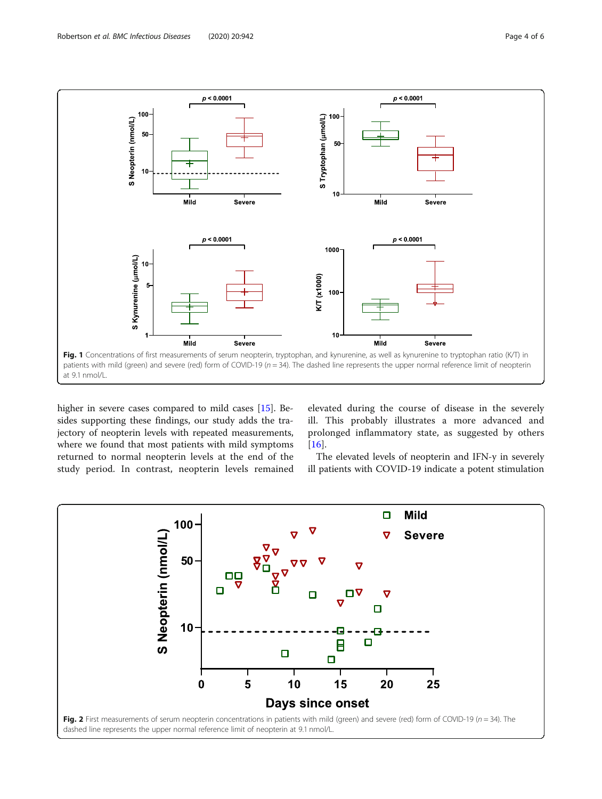<span id="page-3-0"></span>

higher in severe cases compared to mild cases [[15\]](#page-5-0). Besides supporting these findings, our study adds the trajectory of neopterin levels with repeated measurements, where we found that most patients with mild symptoms returned to normal neopterin levels at the end of the study period. In contrast, neopterin levels remained elevated during the course of disease in the severely ill. This probably illustrates a more advanced and prolonged inflammatory state, as suggested by others  $[16]$  $[16]$ .

The elevated levels of neopterin and IFN-y in severely ill patients with COVID-19 indicate a potent stimulation

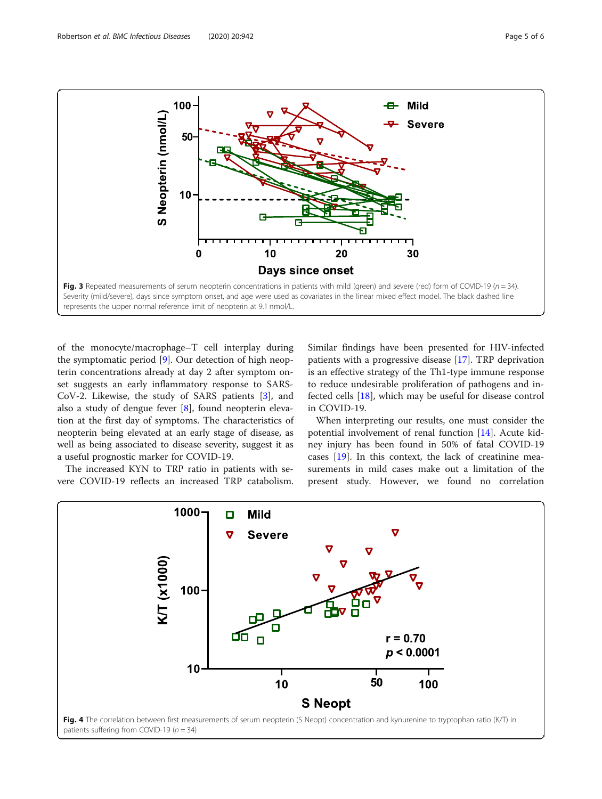<span id="page-4-0"></span>

of the monocyte/macrophage–T cell interplay during the symptomatic period [[9\]](#page-5-0). Our detection of high neopterin concentrations already at day 2 after symptom onset suggests an early inflammatory response to SARS-CoV-2. Likewise, the study of SARS patients [\[3](#page-5-0)], and also a study of dengue fever [[8\]](#page-5-0), found neopterin elevation at the first day of symptoms. The characteristics of neopterin being elevated at an early stage of disease, as well as being associated to disease severity, suggest it as a useful prognostic marker for COVID-19.

The increased KYN to TRP ratio in patients with severe COVID-19 reflects an increased TRP catabolism.

Similar findings have been presented for HIV-infected patients with a progressive disease [[17\]](#page-5-0). TRP deprivation is an effective strategy of the Th1-type immune response to reduce undesirable proliferation of pathogens and infected cells [\[18](#page-5-0)], which may be useful for disease control in COVID-19.

When interpreting our results, one must consider the potential involvement of renal function [\[14](#page-5-0)]. Acute kidney injury has been found in 50% of fatal COVID-19 cases [\[19\]](#page-5-0). In this context, the lack of creatinine measurements in mild cases make out a limitation of the present study. However, we found no correlation